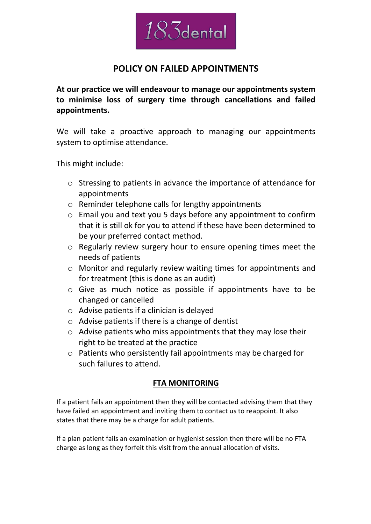

# **POLICY ON FAILED APPOINTMENTS**

**At our practice we will endeavour to manage our appointments system to minimise loss of surgery time through cancellations and failed appointments.**

We will take a proactive approach to managing our appointments system to optimise attendance.

This might include:

- o Stressing to patients in advance the importance of attendance for appointments
- o Reminder telephone calls for lengthy appointments
- o Email you and text you 5 days before any appointment to confirm that it is still ok for you to attend if these have been determined to be your preferred contact method.
- o Regularly review surgery hour to ensure opening times meet the needs of patients
- o Monitor and regularly review waiting times for appointments and for treatment (this is done as an audit)
- o Give as much notice as possible if appointments have to be changed or cancelled
- o Advise patients if a clinician is delayed
- $\circ$  Advise patients if there is a change of dentist
- o Advise patients who miss appointments that they may lose their right to be treated at the practice
- o Patients who persistently fail appointments may be charged for such failures to attend.

## **FTA MONITORING**

If a patient fails an appointment then they will be contacted advising them that they have failed an appointment and inviting them to contact us to reappoint. It also states that there may be a charge for adult patients.

If a plan patient fails an examination or hygienist session then there will be no FTA charge as long as they forfeit this visit from the annual allocation of visits.